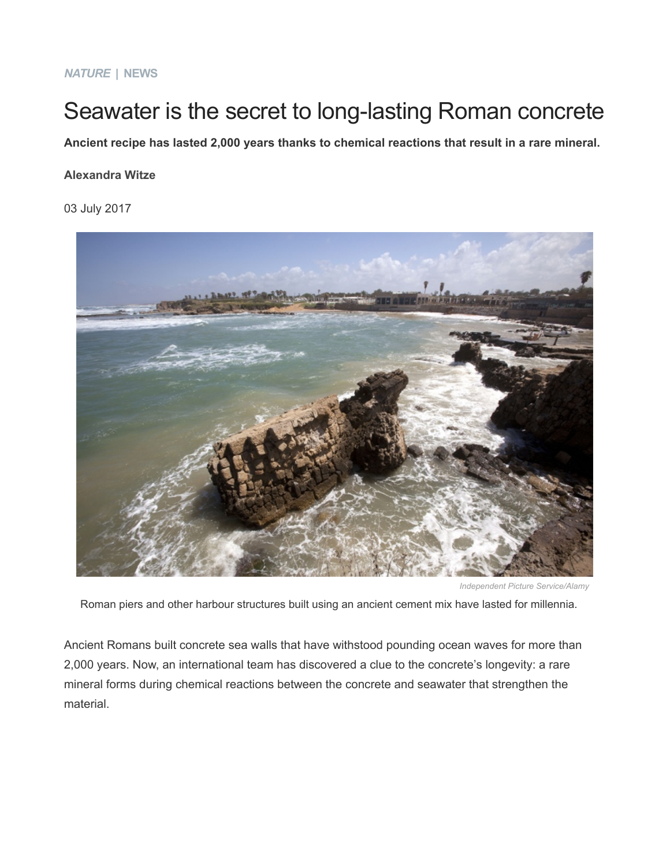## *NATURE* **| NEWS**

# Seawater is the secret to long-lasting Roman concrete

**Ancient recipe has lasted 2,000 years thanks to chemical reactions that result in a rare mineral.**

#### **[Alexandra Witze](https://www.nature.com/news/seawater-is-the-secret-to-long-lasting-roman-concrete-1.22231#auth-1)**

03 July 2017



*Independent Picture Service/Alamy*

Roman piers and other harbour structures built using an ancient cement mix have lasted for millennia.

Ancient Romans built concrete sea walls that have withstood pounding ocean waves for more than 2,000 years. Now, an international team has discovered a clue to the concrete's longevity: a rare mineral forms during chemical reactions between the concrete and seawater that strengthen the material.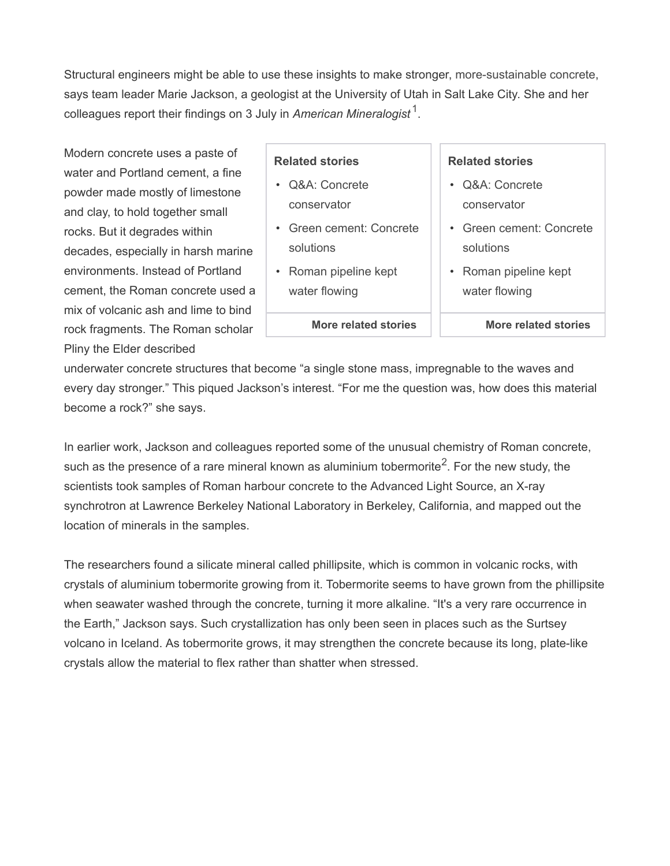Structural engineers might be able to use these insights to make stronger, [more-sustainable concrete](http://www.nature.com/doifinder/10.1038/494300a), says team leader Marie Jackson, a geologist at the University of Utah in Salt Lake City. She and her colleagues report their findings on 3 July in *American Mineralogist* [1](https://www.nature.com/news/seawater-is-the-secret-to-long-lasting-roman-concrete-1.22231#b1) .

Modern concrete uses a paste of water and Portland cement, a fine powder made mostly of limestone and clay, to hold together small rocks. But it degrades within decades, especially in harsh marine environments. Instead of Portland cement, the Roman concrete used a mix of volcanic ash and lime to bind rock fragments. The Roman scholar Pliny the Elder described

## **Related stories**

- [Q&A: Concrete](https://www.nature.com/doifinder/10.1038/507039a) [conservator](https://www.nature.com/doifinder/10.1038/507039a)
- [Green cement: Concrete](https://www.nature.com/doifinder/10.1038/494300a) [solutions](https://www.nature.com/doifinder/10.1038/494300a)
- [Roman pipeline kept](https://www.nature.com/doifinder/10.1038/news030407-3) [water flowing](https://www.nature.com/doifinder/10.1038/news030407-3)
	- **[More related stories](#page--1-0)**

#### **Related stories**

- [Q&A: Concrete](https://www.nature.com/doifinder/10.1038/507039a) [conservator](https://www.nature.com/doifinder/10.1038/507039a)
- [Green cement: Concrete](https://www.nature.com/doifinder/10.1038/494300a) [solutions](https://www.nature.com/doifinder/10.1038/494300a)
- [Roman pipeline kept](https://www.nature.com/doifinder/10.1038/news030407-3) [water flowing](https://www.nature.com/doifinder/10.1038/news030407-3)

**[More related stories](https://www.nature.com/news/seawater-is-the-secret-to-long-lasting-roman-concrete-1.22231#related-links)**

underwater concrete structures that become "a single stone mass, impregnable to the waves and every day stronger." This piqued Jackson's interest. "For me the question was, how does this material become a rock?" she says.

In earlier work, Jackson and colleagues reported some of the unusual chemistry of Roman concrete, such as the presence of a rare mineral known as aluminium tobermorite<sup>[2](https://www.nature.com/news/seawater-is-the-secret-to-long-lasting-roman-concrete-1.22231#b2)</sup>. For the new study, the scientists took samples of Roman harbour concrete to the Advanced Light Source, an X-ray synchrotron at Lawrence Berkeley National Laboratory in Berkeley, California, and mapped out the location of minerals in the samples.

The researchers found a silicate mineral called phillipsite, which is common in volcanic rocks, with crystals of aluminium tobermorite growing from it. Tobermorite seems to have grown from the phillipsite when seawater washed through the concrete, turning it more alkaline. "It's a very rare occurrence in the Earth," Jackson says. Such crystallization has only been seen in places such as the Surtsey volcano in Iceland. As tobermorite grows, it may strengthen the concrete because its long, plate-like crystals allow the material to flex rather than shatter when stressed.